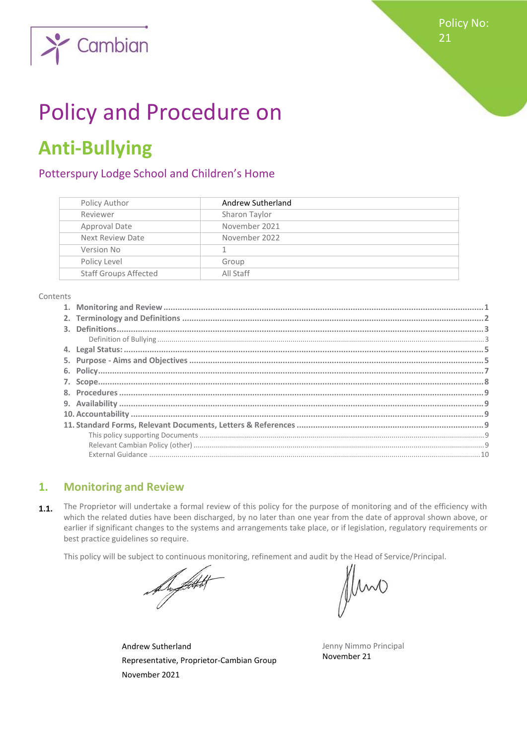

# Policy and Procedure on

# **Anti-Bullying**

# Potterspury Lodge School and Children's Home

| Policy Author                | Andrew Sutherland |
|------------------------------|-------------------|
| Reviewer                     | Sharon Taylor     |
| Approval Date                | November 2021     |
| <b>Next Review Date</b>      | November 2022     |
| Version No                   |                   |
| Policy Level                 | Group             |
| <b>Staff Groups Affected</b> | All Staff         |

#### Contents

#### <span id="page-0-0"></span>**1. Monitoring and Review**

 $1.1.$ The Proprietor will undertake a formal review of this policy for the purpose of monitoring and of the efficiency with which the related duties have been discharged, by no later than one year from the date of approval shown above, or earlier if significant changes to the systems and arrangements take place, or if legislation, regulatory requirements or best practice guidelines so require.

This policy will be subject to continuous monitoring, refinement and audit by the Head of Service/Principal.

Superfield

fluno

Andrew Sutherland Representative, Proprietor-Cambian Group November 2021

Jenny Nimmo Principal November 21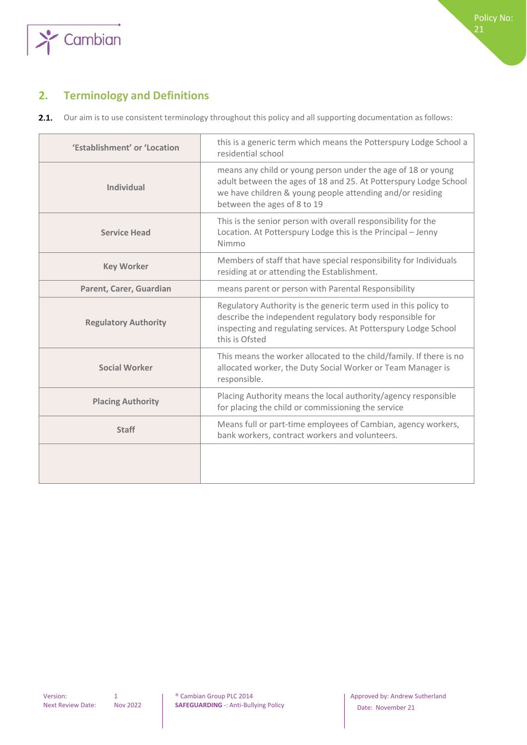

# <span id="page-2-0"></span>**2. Terminology and Definitions**

| 2.1. Our aim is to use consistent terminology throughout this policy and all supporting documentation as follows: |  |
|-------------------------------------------------------------------------------------------------------------------|--|
|-------------------------------------------------------------------------------------------------------------------|--|

| 'Establishment' or 'Location | this is a generic term which means the Potterspury Lodge School a<br>residential school                                                                                                                                      |
|------------------------------|------------------------------------------------------------------------------------------------------------------------------------------------------------------------------------------------------------------------------|
| <b>Individual</b>            | means any child or young person under the age of 18 or young<br>adult between the ages of 18 and 25. At Potterspury Lodge School<br>we have children & young people attending and/or residing<br>between the ages of 8 to 19 |
| <b>Service Head</b>          | This is the senior person with overall responsibility for the<br>Location. At Potterspury Lodge this is the Principal - Jenny<br>Nimmo                                                                                       |
| <b>Key Worker</b>            | Members of staff that have special responsibility for Individuals<br>residing at or attending the Establishment.                                                                                                             |
| Parent, Carer, Guardian      | means parent or person with Parental Responsibility                                                                                                                                                                          |
| <b>Regulatory Authority</b>  | Regulatory Authority is the generic term used in this policy to<br>describe the independent regulatory body responsible for<br>inspecting and regulating services. At Potterspury Lodge School<br>this is Ofsted             |
| <b>Social Worker</b>         | This means the worker allocated to the child/family. If there is no<br>allocated worker, the Duty Social Worker or Team Manager is<br>responsible.                                                                           |
| <b>Placing Authority</b>     | Placing Authority means the local authority/agency responsible<br>for placing the child or commissioning the service                                                                                                         |
| <b>Staff</b>                 | Means full or part-time employees of Cambian, agency workers,<br>bank workers, contract workers and volunteers.                                                                                                              |
|                              |                                                                                                                                                                                                                              |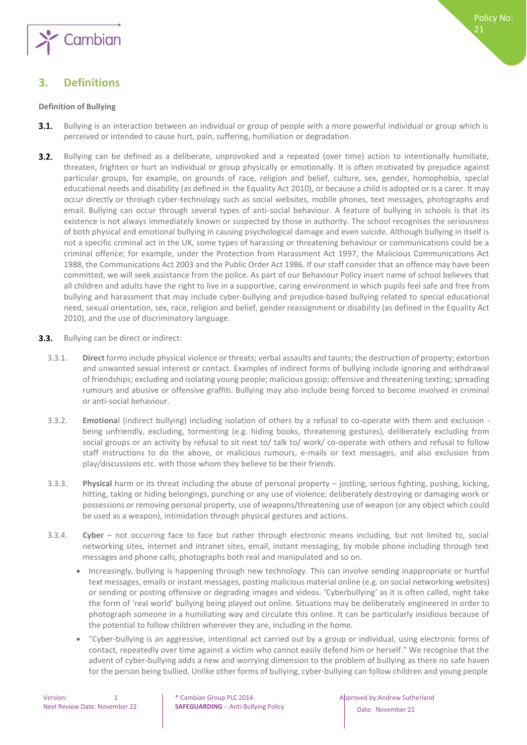

## <span id="page-3-0"></span>**3. Definitions**

#### <span id="page-3-1"></span>**Definition of Bullying**

- $3.1.$ Bullying is an interaction between an individual or group of people with a more powerful individual or group which is perceived or intended to cause hurt, pain, suffering, humiliation or degradation.
- $3.2.$ Bullying can be defined as a deliberate, unprovoked and a repeated (over time) action to intentionally humiliate, threaten, frighten or hurt an individual or group physically or emotionally. It is often motivated by prejudice against particular groups, for example, on grounds of race, religion and belief, culture, sex, gender, homophobia, special educational needs and disability (as defined in the Equality Act 2010), or because a child is adopted or is a carer. It may occur directly or through cyber-technology such as social websites, mobile phones, text messages, photographs and email. Bullying can occur through several types of anti-social behaviour. A feature of bullying in schools is that its existence is not always immediately known or suspected by those in authority. The school recognises the seriousness of both physical and emotional bullying in causing psychological damage and even suicide. Although bullying in itself is not a specific criminal act in the UK, some types of harassing or threatening behaviour or communications could be a criminal offence; for example, under the Protection from Harassment Act 1997, the Malicious Communications Act 1988, the Communications Act 2003 and the Public Order Act 1986. If our staff consider that an offence may have been committed, we will seek assistance from the police. As part of our Behaviour Policy insert name of school believes that all children and adults have the right to live in a supportive, caring environment in which pupils feel safe and free from bullying and harassment that may include cyber-bullying and prejudice-based bullying related to special educational need, sexual orientation, sex, race, religion and belief, gender reassignment or disability (as defined in the Equality Act 2010), and the use of discriminatory language.
- $3.3.$ Bullying can be direct or indirect:
	- 3.3.1. **Direct** formsinclude physical violence or threats; verbal assaults and taunts; the destruction of property; extortion and unwanted sexual interest or contact. Examples of indirect forms of bullying include ignoring and withdrawal of friendships; excluding and isolating young people; malicious gossip; offensive and threatening texting; spreading rumours and abusive or offensive graffiti. Bullying may also include being forced to become involved in criminal or anti-social behaviour.
	- 3.3.2. **Emotiona**l (indirect bullying) including isolation of others by a refusal to co-operate with them and exclusion being unfriendly, excluding, tormenting (e.g. hiding books, threatening gestures), deliberately excluding from social groups or an activity by refusal to sit next to/ talk to/ work/ co-operate with others and refusal to follow staff instructions to do the above, or malicious rumours, e-mails or text messages, and also exclusion from play/discussions etc. with those whom they believe to be their friends.
	- 3.3.3. **Physical** harm or its threat including the abuse of personal property jostling, serious fighting, pushing, kicking, hitting, taking or hiding belongings, punching or any use of violence; deliberately destroying or damaging work or possessions or removing personal property, use of weapons/threatening use of weapon (or any object which could be used as a weapon), intimidation through physical gestures and actions.
	- 3.3.4. **Cyber**  not occurring face to face but rather through electronic means including, but not limited to, social networking sites, internet and intranet sites, email, instant messaging, by mobile phone including through text messages and phone calls, photographs both real and manipulated and so on.
		- Increasingly, bullying is happening through new technology. This can involve sending inappropriate or hurtful text messages, emails or instant messages, posting malicious material online (e.g. on social networking websites) or sending or posting offensive or degrading images and videos. 'Cyberbullying' as it is often called, night take the form of 'real world' bullying being played out online. Situations may be deliberately engineered in order to photograph someone in a humiliating way and circulate this online. It can be particularly insidious because of the potential to follow children wherever they are, including in the home.
		- "Cyber-bullying is an aggressive, intentional act carried out by a group or individual, using electronic forms of contact, repeatedly over time against a victim who cannot easily defend him or herself." We recognise that the advent of cyber-bullying adds a new and worrying dimension to the problem of bullying as there no safe haven for the person being bullied. Unlike other forms of bullying, cyber-bullying can follow children and young people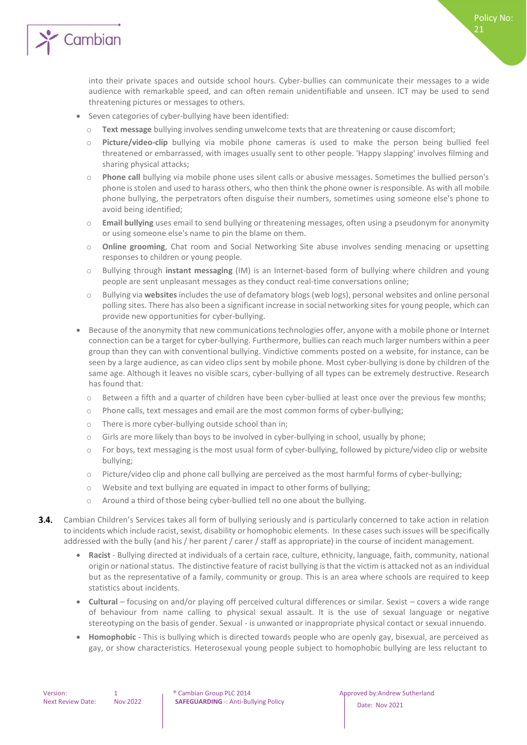

- Seven categories of cyber-bullying have been identified:
	- o **Text message** bullying involves sending unwelcome texts that are threatening or cause discomfort;
	- o **Picture/video-clip** bullying via mobile phone cameras is used to make the person being bullied feel threatened or embarrassed, with images usually sent to other people. 'Happy slapping' involves filming and sharing physical attacks;
	- o **Phone call** bullying via mobile phone uses silent calls or abusive messages. Sometimes the bullied person's phone is stolen and used to harass others, who then think the phone owner is responsible. As with all mobile phone bullying, the perpetrators often disguise their numbers, sometimes using someone else's phone to avoid being identified;
	- o **Email bullying** uses email to send bullying or threatening messages, often using a pseudonym for anonymity or using someone else's name to pin the blame on them.
	- o **Online grooming**, Chat room and Social Networking Site abuse involves sending menacing or upsetting responses to children or young people.
	- o Bullying through **instant messaging** (IM) is an Internet-based form of bullying where children and young people are sent unpleasant messages as they conduct real-time conversations online;
	- o Bullying via **websites** includes the use of defamatory blogs(web logs), personal websites and online personal polling sites. There has also been a significant increase in social networking sites for young people, which can provide new opportunities for cyber-bullying.
- Because of the anonymity that new communications technologies offer, anyone with a mobile phone or Internet connection can be a target for cyber-bullying. Furthermore, bullies can reach much larger numbers within a peer group than they can with conventional bullying. Vindictive comments posted on a website, for instance, can be seen by a large audience, as can video clips sent by mobile phone. Most cyber-bullying is done by children of the same age. Although it leaves no visible scars, cyber-bullying of all types can be extremely destructive. Research has found that:
	- o Between a fifth and a quarter of children have been cyber-bullied at least once over the previous few months;
	- o Phone calls, text messages and email are the most common forms of cyber-bullying;
	- o There is more cyber-bullying outside school than in;
	- $\circ$  Girls are more likely than boys to be involved in cyber-bullying in school, usually by phone;
	- o For boys, text messaging is the most usual form of cyber-bullying, followed by picture/video clip or website bullying;
	- $\circ$  Picture/video clip and phone call bullying are perceived as the most harmful forms of cyber-bullying;
	- o Website and text bullying are equated in impact to other forms of bullying;
	- o Around a third of those being cyber-bullied tell no one about the bullying.
- **3.4.** Cambian Children's Services takes all form of bullying seriously and is particularly concerned to take action in relation to incidents which include racist, sexist, disability or homophobic elements. In these cases such issues will be specifically addressed with the bully (and his / her parent / carer / staff as appropriate) in the course of incident management.
	- **Racist**  Bullying directed at individuals of a certain race, culture, ethnicity, language, faith, community, national origin or national status. The distinctive feature of racist bullying is that the victim is attacked not as an individual but as the representative of a family, community or group. This is an area where schools are required to keep statistics about incidents.
	- **Cultural**  focusing on and/or playing off perceived cultural differences or similar. Sexist covers a wide range of behaviour from name calling to physical sexual assault. It is the use of sexual language or negative stereotyping on the basis of gender. Sexual - is unwanted or inappropriate physical contact or sexual innuendo.
	- **Homophobic**  This is bullying which is directed towards people who are openly gay, bisexual, are perceived as gay, or show characteristics. Heterosexual young people subject to homophobic bullying are less reluctant to

| Version:                 |                 |
|--------------------------|-----------------|
| <b>Next Review Date:</b> | <b>Nov 2022</b> |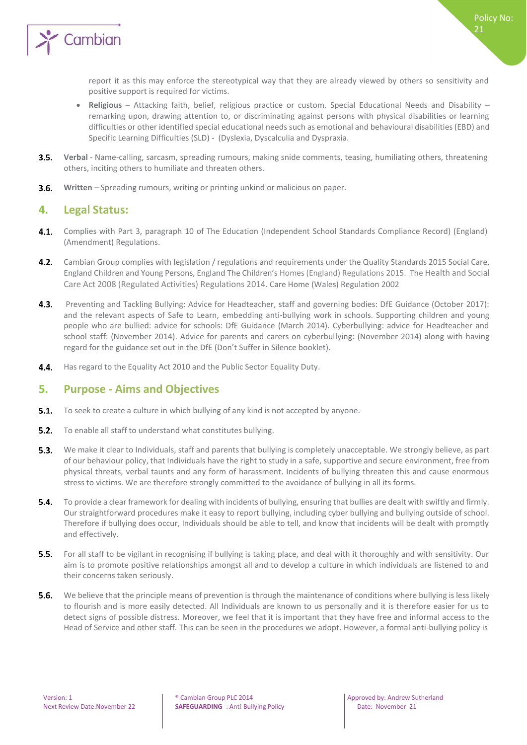

report it as this may enforce the stereotypical way that they are already viewed by others so sensitivity and positive support is required for victims.

- **Religious**  Attacking faith, belief, religious practice or custom. Special Educational Needs and Disability remarking upon, drawing attention to, or discriminating against persons with physical disabilities or learning difficulties or other identified special educational needs such as emotional and behavioural disabilities(EBD) and Specific Learning Difficulties (SLD) - (Dyslexia, Dyscalculia and Dyspraxia.
- $3.5.$ **Verbal** - Name-calling, sarcasm, spreading rumours, making snide comments, teasing, humiliating others, threatening others, inciting others to humiliate and threaten others.
- $3.6.$ **Written** – Spreading rumours, writing or printing unkind or malicious on paper.

#### <span id="page-5-0"></span>**4. Legal Status:**

- 4.1. Complies with Part 3, paragraph 10 of The Education (Independent School Standards Compliance Record) (England) (Amendment) Regulations.
- 4.2. Cambian Group complies with legislation / regulations and requirements under the Quality Standards 2015 Social Care, England Children and Young Persons, England The Children's Homes (England) Regulations 2015. The Health and Social Care Act 2008 (Regulated Activities) Regulations 2014. Care Home (Wales) Regulation 2002
- $4.3.$ Preventing and Tackling Bullying: Advice for Headteacher, staff and governing bodies: DfE Guidance (October 2017): and the relevant aspects of Safe to Learn, embedding anti-bullying work in schools. Supporting children and young people who are bullied: advice for schools: DfE Guidance (March 2014). Cyberbullying: advice for Headteacher and school staff: (November 2014). Advice for parents and carers on cyberbullying: (November 2014) along with having regard for the guidance set out in the DfE (Don't Suffer in Silence booklet).
- <span id="page-5-1"></span> $4.4.$ Has regard to the Equality Act 2010 and the Public Sector Equality Duty.

#### **5. Purpose - Aims and Objectives**

- **5.1.** To seek to create a culture in which bullying of any kind is not accepted by anyone.
- **5.2.** To enable all staff to understand what constitutes bullying.
- $5.3.$ We make it clear to Individuals, staff and parents that bullying is completely unacceptable. We strongly believe, as part of our behaviour policy, that Individuals have the right to study in a safe, supportive and secure environment, free from physical threats, verbal taunts and any form of harassment. Incidents of bullying threaten this and cause enormous stress to victims. We are therefore strongly committed to the avoidance of bullying in all its forms.
- $5.4.$ To provide a clear framework for dealing with incidents of bullying, ensuring that bullies are dealt with swiftly and firmly. Our straightforward procedures make it easy to report bullying, including cyber bullying and bullying outside of school. Therefore if bullying does occur, Individuals should be able to tell, and know that incidents will be dealt with promptly and effectively.
- $5.5.$ For all staff to be vigilant in recognising if bullying is taking place, and deal with it thoroughly and with sensitivity. Our aim is to promote positive relationships amongst all and to develop a culture in which individuals are listened to and their concerns taken seriously.
- $5.6.$ We believe that the principle means of prevention is through the maintenance of conditions where bullying is less likely to flourish and is more easily detected. All Individuals are known to us personally and it is therefore easier for us to detect signs of possible distress. Moreover, we feel that it is important that they have free and informal access to the Head of Service and other staff. This can be seen in the procedures we adopt. However, a formal anti-bullying policy is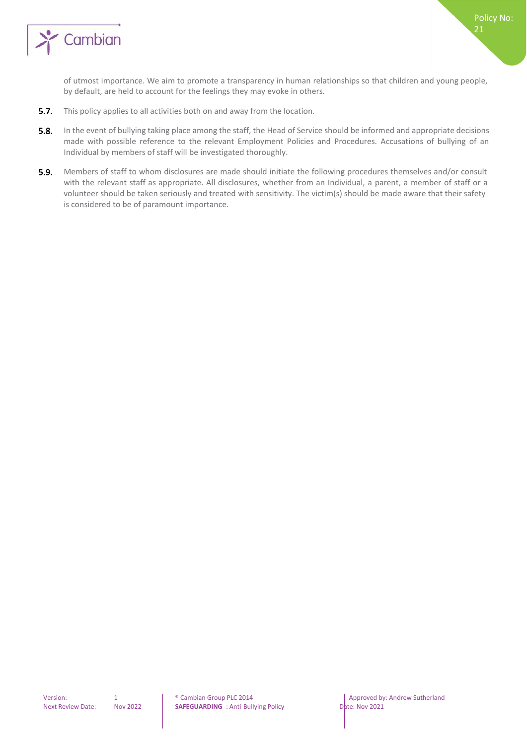

- $5.7.$ This policy applies to all activities both on and away from the location.
- $5.8.$ In the event of bullying taking place among the staff, the Head of Service should be informed and appropriate decisions made with possible reference to the relevant Employment Policies and Procedures. Accusations of bullying of an Individual by members of staff will be investigated thoroughly.
- $5.9.$ Members of staff to whom disclosures are made should initiate the following procedures themselves and/or consult with the relevant staff as appropriate. All disclosures, whether from an Individual, a parent, a member of staff or a volunteer should be taken seriously and treated with sensitivity. The victim(s) should be made aware that their safety is considered to be of paramount importance.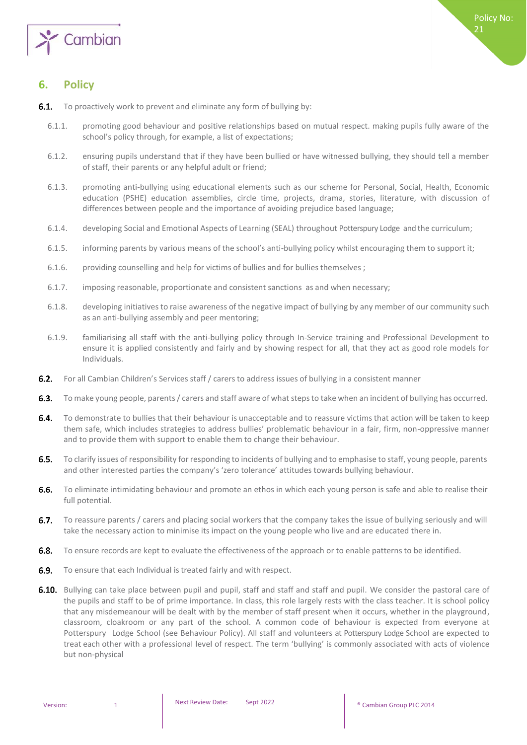

### <span id="page-7-0"></span>**6. Policy**

- $6.1.$ To proactively work to prevent and eliminate any form of bullying by:
	- 6.1.1. promoting good behaviour and positive relationships based on mutual respect. making pupils fully aware of the school's policy through, for example, a list of expectations;
	- 6.1.2. ensuring pupils understand that if they have been bullied or have witnessed bullying, they should tell a member of staff, their parents or any helpful adult or friend;
	- 6.1.3. promoting anti-bullying using educational elements such as our scheme for Personal, Social, Health, Economic education (PSHE) education assemblies, circle time, projects, drama, stories, literature, with discussion of differences between people and the importance of avoiding prejudice based language;
	- 6.1.4. developing Social and Emotional Aspects of Learning (SEAL) throughout Potterspury Lodge and the curriculum;
	- 6.1.5. informing parents by various means of the school's anti-bullying policy whilst encouraging them to support it;
	- 6.1.6. providing counselling and help for victims of bullies and for bullies themselves ;
	- 6.1.7. imposing reasonable, proportionate and consistent sanctions as and when necessary;
	- 6.1.8. developing initiativesto raise awareness of the negative impact of bullying by any member of our community such as an anti-bullying assembly and peer mentoring;
	- 6.1.9. familiarising all staff with the anti-bullying policy through In-Service training and Professional Development to ensure it is applied consistently and fairly and by showing respect for all, that they act as good role models for Individuals.
- $6.2.$ For all Cambian Children's Services staff / carers to address issues of bullying in a consistent manner
- $6.3.$ To make young people, parents/ carers and staff aware of what stepsto take when an incident of bullying has occurred.
- $6.4.$ To demonstrate to bullies that their behaviour is unacceptable and to reassure victims that action will be taken to keep them safe, which includes strategies to address bullies' problematic behaviour in a fair, firm, non-oppressive manner and to provide them with support to enable them to change their behaviour.
- $6.5.$ To clarify issues of responsibility for responding to incidents of bullying and to emphasise to staff, young people, parents and other interested parties the company's 'zero tolerance' attitudes towards bullying behaviour.
- $6.6.$ To eliminate intimidating behaviour and promote an ethos in which each young person is safe and able to realise their full potential.
- $6.7.$ To reassure parents / carers and placing social workers that the company takes the issue of bullying seriously and will take the necessary action to minimise its impact on the young people who live and are educated there in.
- $6.8.$ To ensure records are kept to evaluate the effectiveness of the approach or to enable patterns to be identified.
- **6.9.** To ensure that each Individual is treated fairly and with respect.
- 6.10. Bullying can take place between pupil and pupil, staff and staff and staff and pupil. We consider the pastoral care of the pupils and staff to be of prime importance. In class, this role largely rests with the class teacher. It is school policy that any misdemeanour will be dealt with by the member of staff present when it occurs, whether in the playground, classroom, cloakroom or any part of the school. A common code of behaviour is expected from everyone at Potterspury Lodge School (see Behaviour Policy). All staff and volunteers at Potterspury Lodge School are expected to treat each other with a professional level of respect. The term 'bullying' is commonly associated with acts of violence but non-physical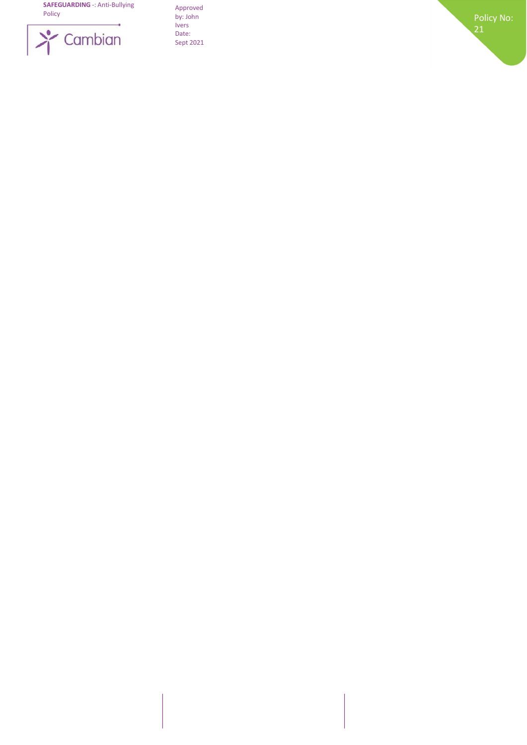**SAFEGUARDING** -: Anti-Bullying Policy



Approved by: John Ivers Date: Sept 2021

Policy No: 21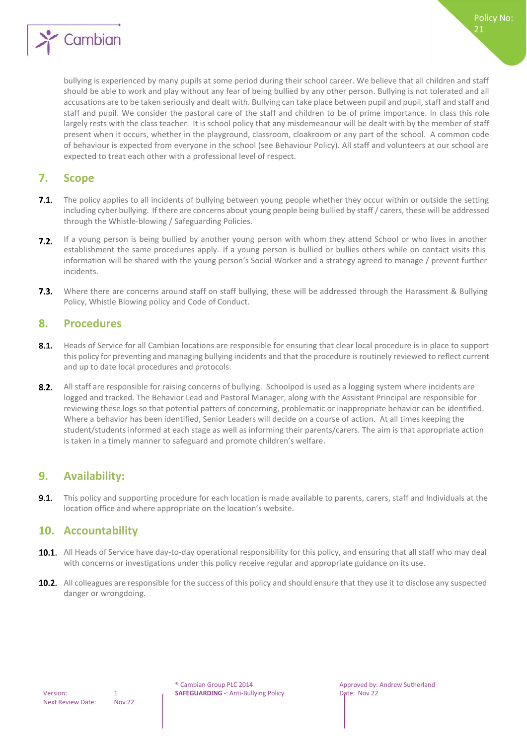

bullying is experienced by many pupils at some period during their school career. We believe that all children and staff should be able to work and play without any fear of being bullied by any other person. Bullying is not tolerated and all accusations are to be taken seriously and dealt with. Bullying can take place between pupil and pupil, staff and staff and staff and pupil. We consider the pastoral care of the staff and children to be of prime importance. In class this role largely rests with the class teacher. It is school policy that any misdemeanour will be dealt with by the member of staff present when it occurs, whether in the playground, classroom, cloakroom or any part of the school. A common code of behaviour is expected from everyone in the school (see Behaviour Policy). All staff and volunteers at our school are expected to treat each other with a professional level of respect.

#### <span id="page-9-0"></span>**7. Scope**

- $7.1.$ The policy applies to all incidents of bullying between young people whether they occur within or outside the setting including cyber bullying. If there are concerns about young people being bullied by staff / carers, these will be addressed through the Whistle-blowing / Safeguarding Policies.
- If a young person is being bullied by another young person with whom they attend School or who lives in another  $7.2.$ establishment the same procedures apply. If a young person is bullied or bullies others while on contact visits this information will be shared with the young person's Social Worker and a strategy agreed to manage / prevent further incidents.
- 7.3. Where there are concerns around staff on staff bullying, these will be addressed through the Harassment & Bullying Policy, Whistle Blowing policy and Code of Conduct.

#### **8. Procedures**

- $8.1.$ Heads of Service for all Cambian locations are responsible for ensuring that clear local procedure is in place to support this policy for preventing and managing bullying incidents and that the procedure isroutinely reviewed to reflect current and up to date local procedures and protocols.
- $8.2.$ All staff are responsible for raising concerns of bullying. Schoolpod is used as a logging system where incidents are logged and tracked. The Behavior Lead and Pastoral Manager, along with the Assistant Principal are responsible for reviewing these logs so that potential patters of concerning, problematic or inappropriate behavior can be identified. Where a behavior has been identified, Senior Leaders will decide on a course of action. At all times keeping the student/students informed at each stage as well as informing their parents/carers. The aim is that appropriate action is taken in a timely manner to safeguard and promote children's welfare.

### **9. Availability:**

 $9.1.$ This policy and supporting procedure for each location is made available to parents, carers, staff and Individuals at the location office and where appropriate on the location's website.

#### **10. Accountability**

- 10.1. All Heads of Service have day-to-day operational responsibility for this policy, and ensuring that all staff who may deal with concerns or investigations under this policy receive regular and appropriate guidance on its use.
- **10.2.** All colleagues are responsible for the success of this policy and should ensure that they use it to disclose any suspected danger or wrongdoing.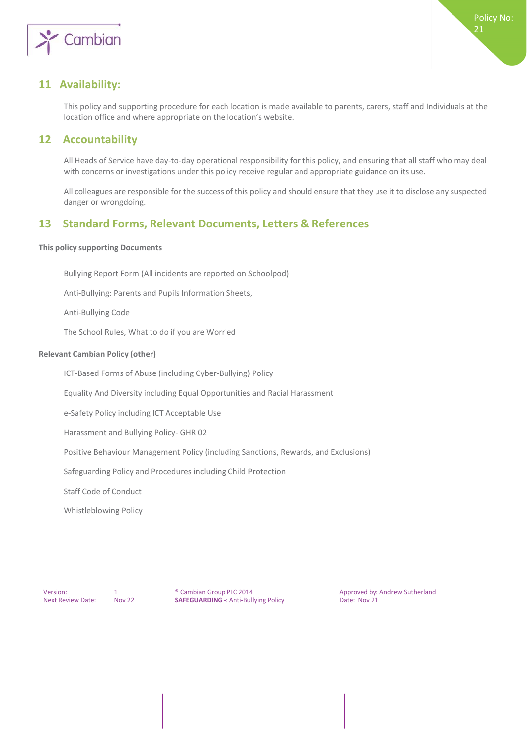

# <span id="page-10-0"></span>**11 Availability:**

This policy and supporting procedure for each location is made available to parents, carers, staff and Individuals at the location office and where appropriate on the location's website.

#### <span id="page-10-1"></span>**12 Accountability**

All Heads of Service have day-to-day operational responsibility for this policy, and ensuring that all staff who may deal with concerns or investigations under this policy receive regular and appropriate guidance on its use.

All colleagues are responsible for the success of this policy and should ensure that they use it to disclose any suspected danger or wrongdoing.

#### <span id="page-10-2"></span>**13 Standard Forms, Relevant Documents, Letters & References**

#### <span id="page-10-3"></span>**This policy supporting Documents**

Bullying Report Form (All incidents are reported on Schoolpod)

Anti-Bullying: Parents and Pupils Information Sheets,

Anti-Bullying Code

The School Rules, What to do if you are Worried

#### <span id="page-10-4"></span>**Relevant Cambian Policy (other)**

ICT-Based Forms of Abuse (including Cyber-Bullying) Policy

Equality And Diversity including Equal Opportunities and Racial Harassment

e-Safety Policy including ICT Acceptable Use

Harassment and Bullying Policy- GHR 02

Positive Behaviour Management Policy (including Sanctions, Rewards, and Exclusions)

Safeguarding Policy and Procedures including Child Protection

Staff Code of Conduct

Whistleblowing Policy

Version: 1 Next Review Date: Nov 22

® Cambian Group PLC 2014 **SAFEGUARDING** -: Anti-Bullying Policy Approved by: Andrew Sutherland Date: Nov 21